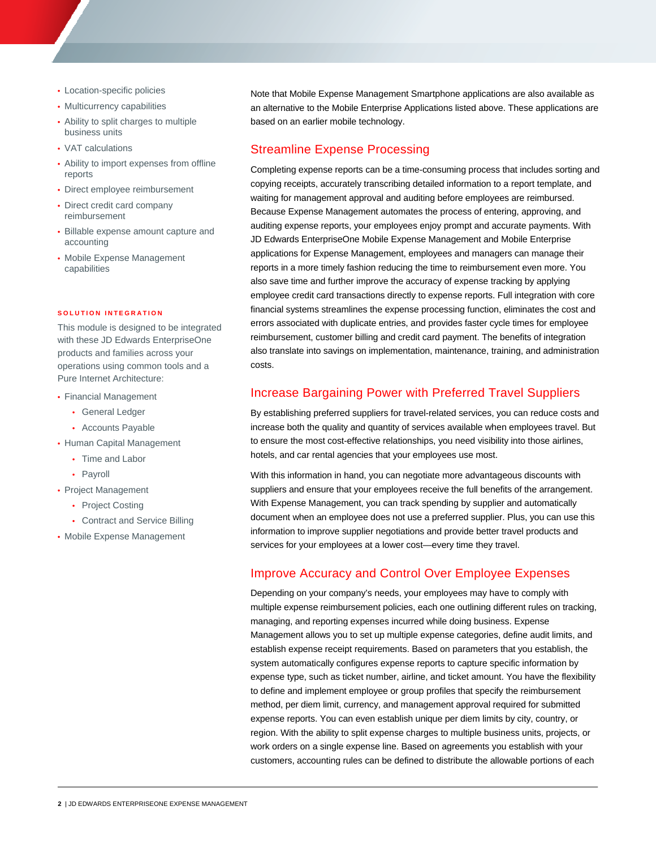- Location-specific policies
- Multicurrency capabilities
- Ability to split charges to multiple business units
- VAT calculations
- Ability to import expenses from offline reports
- Direct employee reimbursement
- Direct credit card company reimbursement
- Billable expense amount capture and accounting
- Mobile Expense Management capabilities

### **SOLUTION INTEGRATION**

This module is designed to be integrated with these JD Edwards EnterpriseOne products and families across your operations using common tools and a Pure Internet Architecture:

- Financial Management
	- General Ledger
	- Accounts Payable
- Human Capital Management
	- Time and Labor<br>• Payroll
	-
- Project Management
	- Project Costing
	- Contract and Service Billing
- Mobile Expense Management

Note that Mobile Expense Management Smartphone applications are also available as an alternative to the Mobile Enterprise Applications listed above. These applications are based on an earlier mobile technology.

## Streamline Expense Processing

Completing expense reports can be a time-consuming process that includes sorting and copying receipts, accurately transcribing detailed information to a report template, and waiting for management approval and auditing before employees are reimbursed. Because Expense Management automates the process of entering, approving, and auditing expense reports, your employees enjoy prompt and accurate payments. With JD Edwards EnterpriseOne Mobile Expense Management and Mobile Enterprise applications for Expense Management, employees and managers can manage their reports in a more timely fashion reducing the time to reimbursement even more. You also save time and further improve the accuracy of expense tracking by applying employee credit card transactions directly to expense reports. Full integration with core financial systems streamlines the expense processing function, eliminates the cost and errors associated with duplicate entries, and provides faster cycle times for employee reimbursement, customer billing and credit card payment. The benefits of integration also translate into savings on implementation, maintenance, training, and administration costs.

### Increase Bargaining Power with Preferred Travel Suppliers

By establishing preferred suppliers for travel-related services, you can reduce costs and increase both the quality and quantity of services available when employees travel. But to ensure the most cost-effective relationships, you need visibility into those airlines, hotels, and car rental agencies that your employees use most.

With this information in hand, you can negotiate more advantageous discounts with suppliers and ensure that your employees receive the full benefits of the arrangement. With Expense Management, you can track spending by supplier and automatically document when an employee does not use a preferred supplier. Plus, you can use this information to improve supplier negotiations and provide better travel products and services for your employees at a lower cost—every time they travel.

# Improve Accuracy and Control Over Employee Expenses

Depending on your company's needs, your employees may have to comply with multiple expense reimbursement policies, each one outlining different rules on tracking, managing, and reporting expenses incurred while doing business. Expense Management allows you to set up multiple expense categories, define audit limits, and establish expense receipt requirements. Based on parameters that you establish, the system automatically configures expense reports to capture specific information by expense type, such as ticket number, airline, and ticket amount. You have the flexibility to define and implement employee or group profiles that specify the reimbursement method, per diem limit, currency, and management approval required for submitted expense reports. You can even establish unique per diem limits by city, country, or region. With the ability to split expense charges to multiple business units, projects, or work orders on a single expense line. Based on agreements you establish with your customers, accounting rules can be defined to distribute the allowable portions of each